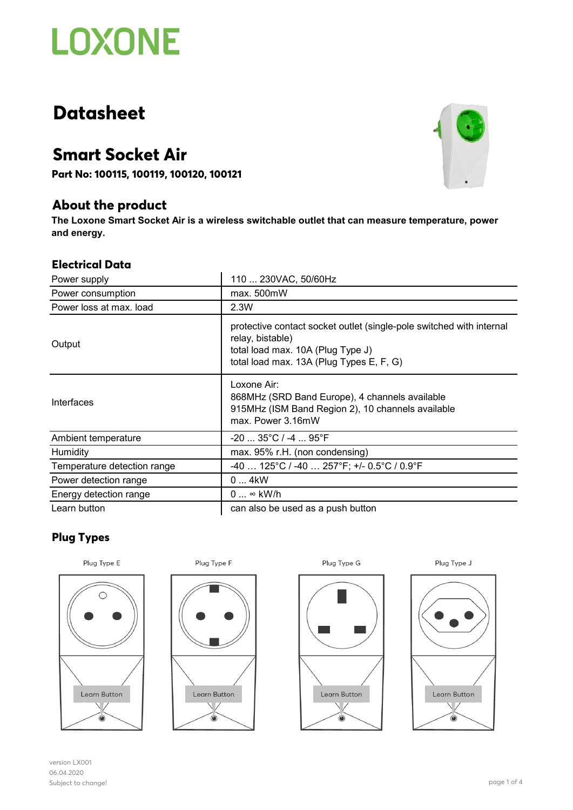# **LOXONE**

## **Datasheet**

### **Smart Socket Air**

**Part No: 100115, 100119, 100120, 100121**

### **About the product**

**The Loxone Smart Socket Air is a wireless switchable outlet that can measure temperature, power and energy.**

### **Electrical Data**

| Power supply                | 110  230VAC, 50/60Hz                                                                                                                                                      |
|-----------------------------|---------------------------------------------------------------------------------------------------------------------------------------------------------------------------|
| Power consumption           | max. 500mW                                                                                                                                                                |
| Power loss at max. load     | 2.3W                                                                                                                                                                      |
| Output                      | protective contact socket outlet (single-pole switched with internal<br>relay, bistable)<br>total load max. 10A (Plug Type J)<br>total load max. 13A (Plug Types E, F, G) |
| Interfaces                  | Loxone Air:<br>868MHz (SRD Band Europe), 4 channels available<br>915MHz (ISM Band Region 2), 10 channels available<br>max. Power 3.16mW                                   |
| Ambient temperature         | -20  35°C / -4  95°F                                                                                                                                                      |
| Humidity                    | max. 95% r.H. (non condensing)                                                                                                                                            |
| Temperature detection range | -40  125°C / -40  257°F; +/- 0.5°C / 0.9°F                                                                                                                                |
| Power detection range       | 04kW                                                                                                                                                                      |
| Energy detection range      | $0 \dots \infty$ kW/h                                                                                                                                                     |
| Learn button                | can also be used as a push button                                                                                                                                         |

### **Plug Types**











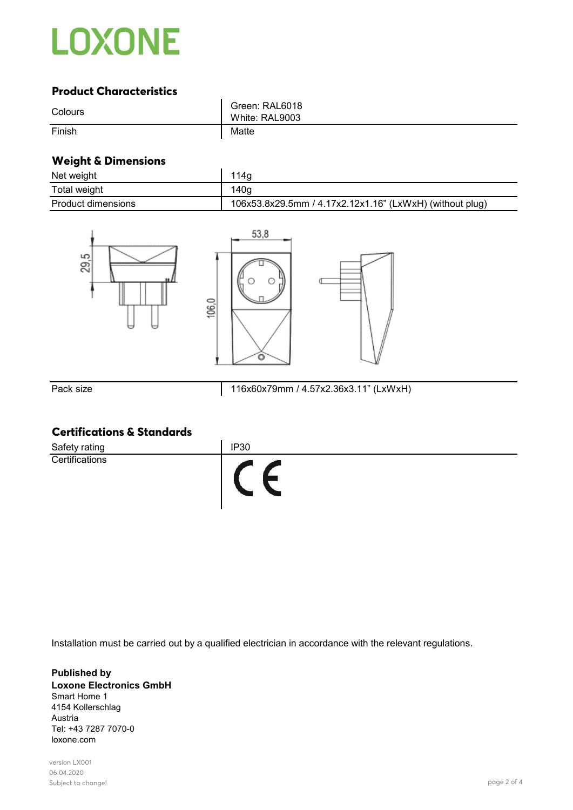

### **Product Characteristics**

| Colours | Green: RAL6018<br>White: RAL9003 |
|---------|----------------------------------|
| Finish  | Matte                            |

#### **Weight & Dimensions**

| Net weight                | 114a                                                     |
|---------------------------|----------------------------------------------------------|
| Total weight              | 140g                                                     |
| <b>Product dimensions</b> | 106x53.8x29.5mm / 4.17x2.12x1.16" (LxWxH) (without plug) |



Pack size 116x60x79mm / 4.57x2.36x3.11" (LxWxH)

### **Certifications & Standards**

| Safety rating  | <b>IP30</b> |
|----------------|-------------|
| Certifications |             |

Installation must be carried out by a qualified electrician in accordance with the relevant regulations.

#### **Published by Loxone Electronics GmbH** Smart Home 1 4154 Kollerschlag Austria Tel: +43 7287 7070-0 loxone.com

version LX001 06.04.2020 Subject to change! page 2 of 4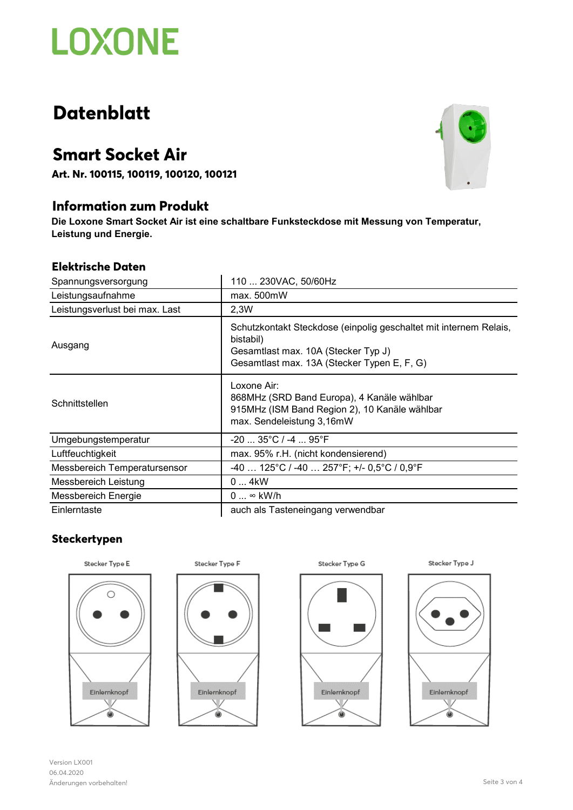# **LOXONE**

## **Datenblatt**

### **Smart Socket Air**

**Art. Nr. 100115, 100119, 100120, 100121**

### **Information zum Produkt**

**Die Loxone Smart Socket Air ist eine schaltbare Funksteckdose mit Messung von Temperatur, Leistung und Energie.**

### **Elektrische Daten**

| Spannungsversorgung            | 110  230VAC, 50/60Hz                                                                                                                                                 |
|--------------------------------|----------------------------------------------------------------------------------------------------------------------------------------------------------------------|
| Leistungsaufnahme              | max. 500mW                                                                                                                                                           |
| Leistungsverlust bei max. Last | 2,3W                                                                                                                                                                 |
| Ausgang                        | Schutzkontakt Steckdose (einpolig geschaltet mit internem Relais,<br>bistabil)<br>Gesamtlast max. 10A (Stecker Typ J)<br>Gesamtlast max. 13A (Stecker Typen E, F, G) |
| Schnittstellen                 | Loxone Air:<br>868MHz (SRD Band Europa), 4 Kanäle wählbar<br>915MHz (ISM Band Region 2), 10 Kanäle wählbar<br>max. Sendeleistung 3,16mW                              |
| Umgebungstemperatur            | $-20$ 35°C / -4  95°F                                                                                                                                                |
| Luftfeuchtigkeit               | max. 95% r.H. (nicht kondensierend)                                                                                                                                  |
| Messbereich Temperatursensor   | $-40$ 125°C / $-40$ 257°F; $+/-0.5$ °C / 0.9°F                                                                                                                       |
| Messbereich Leistung           | 04kW                                                                                                                                                                 |
| Messbereich Energie            | $0 \dots \infty$ kW/h                                                                                                                                                |
| Einlerntaste                   | auch als Tasteneingang verwendbar                                                                                                                                    |

### **Steckertypen**